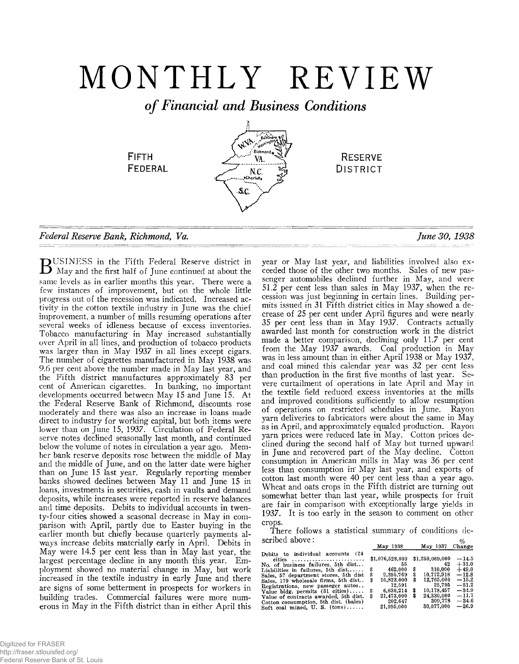# MONTHLY REVIEW

*of Financial and Business Conditions*

Baitlin

Will

 $S.C.$ 

**i** RESERVE

**FIFTH VA. RESERVE FEDERAL** N.C. 23 **DISTRICT** 

*Federal Reserve Bank, Richmond, Va. June 30, 1938*

 $\mathbf{D}^{\text{USINES}}$  in the Fifth Federal Reserve district in May and the first half of June continued at about the same levels as in earlier months this year. There were a few instances of improvement, but on the whole little progress out of the recession was indicated. Increased activity in the cotton textile industry in June was the chief improvement, a number of mills resuming operations after several weeks of idleness because of excess inventories. Tobacco manufacturing in May increased substantially over April in all lines, and production of tobacco products was larger than in May 1937 in all lines except cigars. The number of cigarettes manufactured in May 1938 was 9.6 per cent above the number made in May last year, and the Fifth district manufactures approximately 83 per cent of American cigarettes. In banking, no important developments occurred between May 15 and June 15. At the Federal Reserve Bank of Richmond, discounts rose moderately and there was also an increase in loans made direct to industry for working capital, but both items were lower than on June 15, 1937. Circulation of Federal Reserve notes declined seasonally last month, and continued below the volume of notes in circulation a year ago. Member bank reserve deposits rose between the middle of May and the middle of June, and on the latter date were higher than on June 15 last year. Regularly reporting member banks showed declines between May 11 and June 15 in loans, investments in securities, cash in vaults and demand deposits, while increases were reported in reserve balances and time deposits. Debits to individual accounts in twenty-four cities showed a seasonal decrease in May in comparison with April, partly due to Easter buying in the earlier month but chiefly because quarterly payments always increase debits materially early in April. Debits in May were 14.5 per cent less than in May last year, the largest percentage decline in any month this year. Employment showed no material change in May, but work increased in the textile industry in early June and there are signs of some betterment in prospects for workers in building trades. Commercial failures were more numerous in May in the Fifth district than in either April this

year or May last year, and liabilities involved also exceeded those of the other two months. Sales of new passenger automobiles declined further in May, and were 51.2 per cent less than sales in May 1937, when the recession was just beginning in certain lines. Building permits issued in 31 Fifth district cities in May showed a decrease of 25 per cent under April figures and were nearly 35 per cent less than in May 1937. Contracts actually awarded last month for construction work in the district made a better comparison, declining only 11.7 per cent from the May 1937 awards. Coal production in May was in less amount than in either April 1938 or May 1937, and coal mined this calendar year was 32 per cent less than production in the first five months of last year. Severe curtailment of operations in late April and May in the textile field reduced excess inventories at the mills and improved conditions sufficiently to allow resumption of operations on restricted schedules in June. Rayon yarn deliveries to fabricators were about the same in May as in April, and approximately equaled production. Rayon yarn prices were reduced late in May. Cotton prices declined during the second half of May but turned upward in June and recovered part of the May decline. Cotton consumption in American mills in May was 36 per cent less than consumption in' May last year, and exports of cotton last month were 40 per cent less than a year ago. Wheat and oats crops in the Fifth district are turning out somewhat better than last year, while prospects for fruit are fair in comparison with exceptionally large yields in 1937. It is too early in the season to comment on other crops.

There follows a statistical summary of conditions described above:

Debits to individual accounts  $(24 \t 81,076,528,000 \t 81,259,069,000 \t -14.5$ <br>
No. of business failures, 5th dist...  $\t 81,076,528,000 \t 81,259,069,000 \t +49.00$ <br>
Liabilities in failures, 5th dist...  $\t 8462,000 \t 81,3000$ 

|                | May 1938                                         |               | May 1937                                          | $\overline{\phantom{a}}$<br>Change       |
|----------------|--------------------------------------------------|---------------|---------------------------------------------------|------------------------------------------|
|                | \$1,076,528,000<br>55                            |               | \$1,259,069,000<br>42                             | $-14.5$<br>$+31.0$                       |
| \$<br>\$<br>\$ | 462.000<br>9,395,769<br>10.823.000<br>12,591     | \$<br>\$<br>S | 310,000<br>10.772.918<br>12,765,000<br>25,795     | $+49.0$<br>$-12.8$<br>$-15.2$<br>$-51.2$ |
| \$<br>s        | 6.630.214<br>21,473,000<br>202.647<br>21.995.000 | \$<br>S       | 10,178,457<br>24.330.000<br>309.778<br>30.077.000 | $-34.9$<br>$-11.7$<br>$-34.6$<br>$-26.9$ |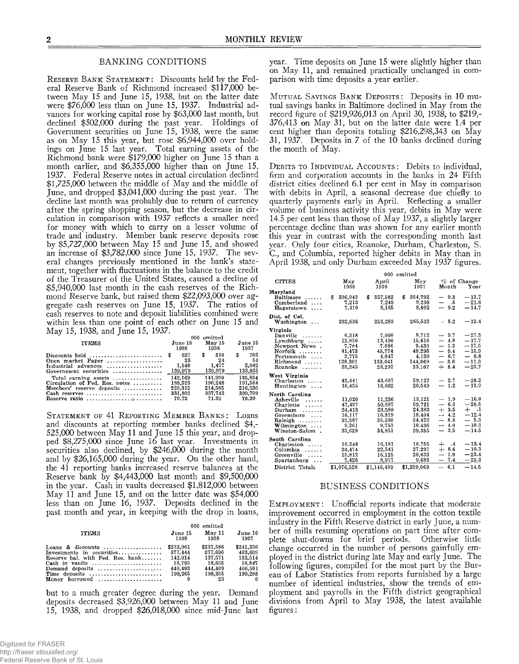#### BANKING CONDITIONS

RESERVE BANK STATEMENT: Discounts held by the Federal Reserve Bank of Richmond increased \$117,000 between May 15 and June 15, 1938, but on the latter date were \$76,000 less than on June 15, 1937. Industrial advances for working capital rose by \$63,000 last month, but declined \$502,000 during the past year. Holdings of Government securities on June 15, 1938, were the same as on May 15 this year, but rose \$6,944,000 over holdings on June 15 last year. Total earning assets of the Richmond bank were \$179,000 higher on June 15 than a month earlier, and \$6,355,000 higher than on June 15, 1937. Federal Reserve notes in actual circulation declined \$1,725,000 between the middle of May and the middle of June, and dropped \$3,041,000 during the past year. The decline last month was probably due to return of currency after the spring shopping season, but the decrease in circulation in comparison with 1937 reflects a smaller need for money with which to carry on a lesser volume of trade and industry. Member bank reserve deposits rose by \$5,727,000 between May 15 and June 15, and showed an increase of \$3,782,000 since June 15, 1937. The several changes previously mentioned in the bank's statement, together with fluctuations in the balance to the credit of the Treasurer of the United States, caused a decline of \$5,940,000 last month in the cash reserves of the Richmond Reserve bank, but raised them \$22,093,000 over aggregate cash reserves on June 15, 1937. The ratios of cash reserves to note and deposit liabilities combined were within less than one point of each other on June 15 and May 15, 1938, and June 15, 1937.

|                                                         |         | 000 omitted |         |   |         |
|---------------------------------------------------------|---------|-------------|---------|---|---------|
| <b>ITEMS</b>                                            | June 15 |             | May 15  |   | June 15 |
|                                                         | 1938    |             | 1938    |   | 1937    |
| Discounts held $\ldots, \ldots, \ldots, \ldots, \ldots$ | 627     |             | 510     | S | 703     |
| Open market Paper                                       | 23      |             | 24      |   | 54      |
| Industrial advances                                     | 1.540   |             | 1.477   |   | 2.042   |
| Government securities                                   | 139,979 |             | 139,979 |   | 133,035 |
| Total earning assets                                    | 142.169 |             | 141.990 |   | 135.834 |
| Circulation of Fed. Res. notes                          | 188.523 |             | 190.248 |   | 191.564 |
| Members' reserve deposits                               | 220.312 |             | 214.585 |   | 216.530 |
| Cash reserves                                           | 331.802 |             | 337.742 |   | 309.709 |
|                                                         | 70.72   |             | 71.32   |   | 70.39   |

STATEMENT OF 41 REPORTING MEMBER BANKS: Loans and discounts at reporting member banks declined \$4,- 525,000 between May 11 and June 15 this year, and dropped \$8,275,000 since June 16 last year. Investments in securities also declined, by \$246,000 during the month and by \$26,165,000 during the year. On the other hand, the 41 reporting banks increased reserve balances at the Reserve bank by \$4,443,000 last month and \$9,500,000 in the year. Cash in vaults decreased \$1,812,000 between May 11 and June 15, and on the latter date was \$54,000 less than on June 16, 1937. Deposits declined in the past month and year, in keeping with the drop in loans,

|                                  |                 | 000 omitted       |                 |
|----------------------------------|-----------------|-------------------|-----------------|
| <b>ITEMS</b>                     | June 15<br>1938 | $M$ av 11<br>1938 | June 16<br>1937 |
| Loans & discounts                | \$233,061       | \$237.586         | \$241.336       |
| $Investments$ in securities      | 377.444         | 377.690           | 403.609         |
| Reserve bal, with Fed. Res. bank | 142.014         | 137.571           | 132.514         |
|                                  | 16.793          | 18.605            | 16.847          |
| $Demand$ deposits                | 440.483         | 444.409           | 466.501         |
| Time deposits                    | 199.265         | 198.355           | 199.288         |
| Money borrowed                   |                 | 23                |                 |

but to a much greater degree during the year. Demand deposits decreased \$3,926,000 between May 11 and June 15, 1938, and dropped \$26,018,000 since mid-June last

year. Time deposits on June 15 were slightly higher than on May 11, and remained practically unchanged in comparison with time deposits a year earlier.

MUTUAL SAVINGS BANK DEPOSITS: Deposits in 10 mutual savings banks in Baltimore declined in May from the record figure of \$219,926,013 on April 30, 1938, to \$219,- 376,413 on May 31, but on the latter date were 1.4 per cent higher than deposits totaling \$216,298,343 on May 31, 1937. Deposits in 7 of the 10 banks declined during the month of May.

DEBITS TO INDIVIDUAL ACCOUNTS: Debits to individual, firm and corporation accounts in the banks in 24 Fifth district cities declined 6.1 per cent in May in comparison with debits in April, a seasonal decrease due chiefly to quarterly payments early in April. Reflecting a smaller volume of business activity this year, debits in May were 14.5 per cent less than those of May 1937, a slightly larger percentage decline than was shown for any earlier month this year in contrast with the corresponding month last year. Only four cities, Roanoke, Durham, Charleston, **S.** C., and Columbia, reported higher debits in May than in April 1938, and only Durham exceeded May 1937 figures.

|                                                                                                                                        |                                                                   |                                                                   | 000 omitted                                                        |                                                                                                 |                                                                                |
|----------------------------------------------------------------------------------------------------------------------------------------|-------------------------------------------------------------------|-------------------------------------------------------------------|--------------------------------------------------------------------|-------------------------------------------------------------------------------------------------|--------------------------------------------------------------------------------|
| <b>CITIES</b>                                                                                                                          | May<br>1938                                                       | April<br>1938                                                     | May<br>1937                                                        | Month                                                                                           | $\%$ of Change<br>Year                                                         |
| Maryland<br><b>Baltimore</b><br>.<br>Cumberland<br>Hagerstown                                                                          | 306,043<br>s<br>7.213<br>7,410                                    | 337,582<br>\$<br>7.249<br>8,165                                   | 354,792<br>\$<br>9.200<br>8.692                                    | $-9.3$<br>- 5<br>$-9.2$                                                                         | $-13.7$<br>$-21.6$<br>$-14.7$                                                  |
| Dist. of Col.<br>Washington                                                                                                            | 232,636                                                           | 253,283                                                           | 265,533                                                            | $-8.2$                                                                                          | $-12.4$                                                                        |
| Virginia<br>Danville<br>.<br>$Lynchburg$<br>Newport News.<br>$Norfolk$<br>Portsmouth<br>Richmond<br>Roanoke $\dots$                    | 6.318<br>12,850<br>7.784<br>41,473<br>3,775<br>128,301<br>25,245  | 7.000<br>13,496<br>7.886<br>45,774<br>4,047<br>133,041<br>23,297  | 8.712<br>15,616<br>9,430<br>49,293<br>4.139<br>144.669<br>33,107   | $-9.7$<br>$-4.8$<br>$-1.3$<br>$-9.4$<br>$-6.7$<br>3.6<br>$\overline{\phantom{0}}$<br>$+$<br>8.4 | $-27.5$<br>$-17.7$<br>$-17.5$<br>$-15.9$<br>$-8.8$<br>$-11.3$<br>$-23.7$       |
| West Virginia<br>Charleston<br>.<br>Huntington                                                                                         | 42,441<br>16.455                                                  | 43,607<br>16,662                                                  | 59,127<br>20,549                                                   | $-2.7$<br>1.2<br>÷.                                                                             | $-28.2$<br>$-19.9$                                                             |
| North Carolina<br>Asheville<br>.<br>Charlotte<br>.<br>Durham<br>.<br>Greensboro<br>Raleigh<br>$\ldots$<br>Wilmington<br>Winston-Salem. | 11,020<br>47,497<br>24,413<br>16,117<br>32,587<br>9.361<br>33.629 | 11,236<br>50,687<br>23,580<br>16.819<br>35,530<br>9.753<br>34,851 | 13,121<br>59.721<br>24,383<br>18.404<br>34,422<br>10.436<br>39.355 | $-1.9$<br>$-6.3$<br>$+3.5$<br>$-4.2$<br>$-8.3$<br>4.0<br>--<br>$-3.5$                           | $-16.0$<br>$-20.5$<br>$+$ $\cdot$ 1<br>$-12.4$<br>$-5.3$<br>$-10.3$<br>$-14.5$ |
| South Carolina<br>Charleston<br>.<br>Columbia<br>.<br>Greenville<br>.<br>Spartanburg<br>$\ddotsc$<br>District Totals                   | 16,248<br>24,474<br>15,812<br>7,426<br>\$1,076,528                | 16,181<br>22,541<br>16.125<br>8,017<br>\$1,146,409                | 18.755<br>27,297<br>20.633<br>9,683<br>\$1,259,069                 | $^{+}$<br>$\cdot$<br>$+8.6$<br>-1.9<br>$\overline{\phantom{0}}$<br>7.4<br>-<br>$-6.1$           | $-13.4$<br>$-10.3$<br>$-23.4$<br>$-23.3$<br>$-14.5$                            |

#### BUSINESS CONDITIONS

**EMPLOYMENT:** Unofficial reports indicate that moderate improvement occurred in employment in the cotton textile industry in the Fifth Reserve district in early June, a number of mills resuming operations on part time after complete shut-downs for brief periods. Otherwise little change occurred in the number of persons gainfully employed in the district during late May and early June. The following figures, compiled for the most part by the Bureau of Labor Statistics from reports furnished by a large number of identical industries, show' the trends of employment and payrolls in the Fifth district geographical divisions from April to May 1938, the latest available figures: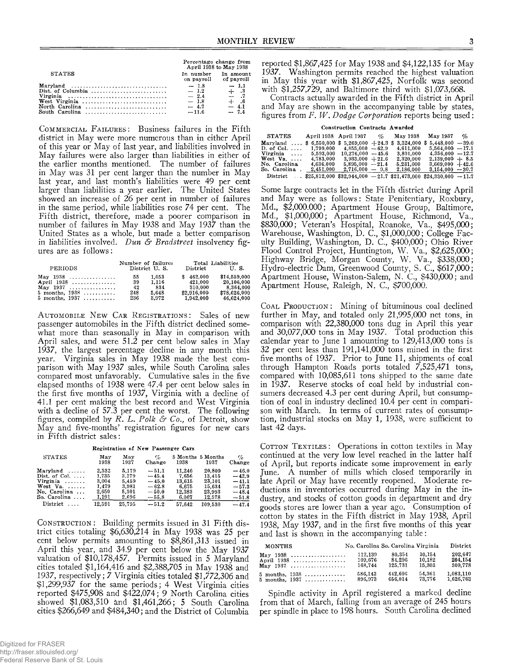|                                                               | Percentage change from                                    | April 1938 to May 1938                                      |
|---------------------------------------------------------------|-----------------------------------------------------------|-------------------------------------------------------------|
| <b>STATES</b>                                                 | In number In amount<br>on payroll                         | of payroll                                                  |
| Maryland<br>West Virginia<br>North Carolina<br>South Carolina | $-1.8$<br>$-1.2$<br>$-2.4$<br>$-1.8$<br>$-4.7$<br>$-11.6$ | $-1.1$<br>$\pm$ $\frac{3}{7}$<br>$+$ .6<br>$-4.1$<br>$-7.4$ |

COMMERCIAL FAILURES: Business failures in the Fifth district in May were more numerous than in either April of this year or May of last year, and liabilities involved in May failures were also larger than liabilities in either of the earlier months mentioned. The number of failures in May was 31 per cent larger than the number in Mav In May was 31 per cent larger than the number in May<br>last year, and last month's liabilities were 49 per cent<br>larger than liabilities a year earlier. The United States<br>showed an increase of 26 per cent in number of failure in the same period, while liabilities rose 74 per cent. The Fifth district, therefore, made a poorer comparison in number of failures in May 1938 and May 1937 than the United States as a whole, but made a better comparison in liabilities involved. Dun & Bradstreet insolvency figures are as follows:

| PERIODS              |     | Number of failures<br>District U.S. | District    | Total Liabilities<br>- U.S. |
|----------------------|-----|-------------------------------------|-------------|-----------------------------|
| May 1938             | 55  | 1.053                               | \$462.000   | \$14,559,000                |
| April 1938           | 39  | 1.116                               | 421.000     | 20.106.000                  |
| May 1937             | 42  | -834                                | 310.000     | 8,364,000                   |
| $5$ months, $1938$   | 248 | 5.648                               | \$2.916.000 | \$78,626,000                |
| $5$ months, $1937$ , | 236 | 3.972                               | 1,942,000   | 46.624.000                  |

AUTOMOBILE NEW CAR REGISTRATIONS: Sales of new passenger automobiles in the Fifth district declined somewhat more than seasonally in May in comparison with April sales, and were 51.2 per cent below sales in May 1937, the largest percentage decline in any month this year. Virginia sales in May 1938 made the best com-<br>parison with May 1937 sales, while South Carolina sales<br>compared most unfavorably. Cumulative sales in the five<br>elapsed months of 1938 were 47.4 per cent below sales in the first five months of 1937, Virginia with a decline of 41.1 per cent making the best record and West Virginia with a decline of 57.3 per cent the worst. The following<br>figures, compiled by  $R$ . L. Polk & Co., of Detroit, show May and five-months' registration figures for new cars in Fifth district sales:

Registration of New Passenger Cars

| <b>STATES</b>              | May<br>1938 | May<br>1937 | $\%$<br>Change | 1938   | 5 Months 5 Months<br>1937 | $\%$<br>Change |
|----------------------------|-------------|-------------|----------------|--------|---------------------------|----------------|
| Maryland                   | 2.532       | 5.179       | $-51.1$        | 11.246 | 20,809                    | $-46.0$        |
| $Dist.$ of Col. $\ldots$ . | 1.735       | 3.179       | $-45.4$        | 7.656  | 13.415                    | $-42.9$        |
| Virginia                   | 3,004       | 5,459       | $-45.0$        | 13.615 | 23,101                    | $-41.1$        |
| $West$ Va. $\ldots$ .      | 1.479       | 3.981       | $-62.8$        | 6.675  | 15.634                    | $-57.3$        |
| No. Carolina               | 2.650       | 5.301       | $-50.0$        | 12.383 | 23,993                    | $-48.4$        |
| So. Carolina               | 1.191       | 2.696       | $-55.8$        | 6,067  | 12.578                    | $-51.8$        |
| $District$                 | 12.591      | 25.795      | $-51.2$        | 57.642 | 109.530                   | $-47.4$        |

CONSTRUCTION: Building permits issued in 31 Fifth district cities totaling \$6,630,214 in May 1938 was 25 per cent below permits amounting to \$8,861,313 issued in April this year, and 34.9 per cent below the May 1937<br>valuation of \$10,178,457. Permits issued in 5 Maryland cities totaled \$1,164,416 and \$2,388,705 in May 1938 and 1937, respectively; 7 Virginia cities totaled \$1,772,306 and \$1,299,937 for the same periods; 4 West Virginia cities<br>reported \$475,908 and \$422,074; 9 North Carolina cities<br>showed \$1,083,510 and \$1,461,266; 5 South Carolina cities \$266,649 and \$484,340; and the District of Columbia

Digitized for FRASER http://fraser.stlouisfed.org/ Federal Reserve Bank of St. Louis reported \$1,867,425 for May 1938 and \$4,122,135 for May 1937. Washington permits reached the highest valuation in May this year with \$1,867,425, Norfolk was second with \$1,257,729, and Baltimore third with \$1,073,668.

Contracts actually awarded in the Fifth district in April and May are shown in the accompanying table by states. figures from F. W. Dodge Corporation reports being used:

| onstruction Contracts Awarded |  |
|-------------------------------|--|
|                               |  |

 $\mathbf{c}$ 

| <b>STATES</b>                                  |           | April 1938 April 1937                                                      | $\phi_{0}$ | May 1938  | May 1937                        | $\%$ |
|------------------------------------------------|-----------|----------------------------------------------------------------------------|------------|-----------|---------------------------------|------|
| Maryland  \$ 6.550,000 \$ 5.269,000 $+24.3$ \$ |           |                                                                            |            |           | $3,324,000$ \$ 5,448,000 - 39.0 |      |
| $D.$ of Col. $\ldots$ .                        | 1.799.000 | $4,855,000 - 62.9$                                                         |            | 4.611.000 | $5,564,000 - 17.1$              |      |
| Virginia                                       | 5,593,000 | $10.276.000 - 45.6$                                                        |            | 3.801.000 | $4,356,000 -12.7$               |      |
| West $Va$                                      | 4.783.000 | $3.933.000 + 21.6$                                                         |            | 2,320,000 | $2.139.000 + 8.5$               |      |
| No. Carolina                                   | 4.636.000 | $5.895.000 - 21.4$                                                         |            | 5.231.000 | $3.669.000 + 42.6$              |      |
| So. Carolina.                                  | 2,451,000 | $2.716,000 - 9.8$                                                          |            | 2,186,000 | $3,154,000 - 30.7$              |      |
| $\bold{District}$                              |           | $\ldots$ \$25,812,000 \$32,944,000 - 21.7 \$21,473,000 \$24,330,000 - 11.7 |            |           |                                 |      |

Some large contracts let in the Fifth district during April and May were as follows: State Penitentiary, Roxbury, Md., \$2,000.000; Apartment House Group, Baltimore, Md., \$1,000,000; Apartment House, Richmond, Va., \$830,000; Veteran's Hospital, Roanoke, Va., \$495,000; Warehouse, Washington, D. C., \$1,000,000; College Faculty Building, Washington, D. C., \$400,000; Ohio River Flood Control Project, Huntington, W. Va., \$2,625,000;<br>Highway Bridge, Morgan County, W. Va., \$338,000; Hydro-electric Dam, Greenwood County, S. C., \$617,000; Apartment House, Winston-Salem, N. C., \$430,000; and Apartment House, Raleigh, N. C., \$700,000.

COAL PRODUCTION: Mining of bituminous coal declined further in May, and totaled only 21,995,000 net tons, in comparison with 22,380,000 tons dug in April this year<br>and 30,077,000 tons in May 1937. Total production this<br>calendar year to June 1 amounting to 129,413,000 tons is 32 per cent less than 191,141,000 tons mined in the first five months of 1937. Prior to June 11, shipments of coal through Hampton Roads ports totaled 7,525,471 tons,<br>compared with 10,085,611 tons shipped to the same date in 1937. Reserve stocks of coal held by industrial consumers decreased 4.3 per cent during April, but consumption of coal in industry declined 10.4 per cent in comparison with March. In terms of current rates of consumption, industrial stocks on May 1, 1938, were sufficient to last 42 days.

COTTON TEXTILES: Operations in cotton textiles in May continued at the very low level reached in the latter half of April, but reports indicate some improvement in early June. A number of mills which closed temporarily in late April or May have recently reopened. Moderate reductions in inventories occurred during May in the industry, and stocks of cotton goods in department and dry goods stores are lower than a year ago. Consumption of cotton by states in the Fifth district in May 1938, April 1938, May 1937, and in the first five months of this year and last is shown in the accompanying table:

| MONTHS                                     |         | No. Carolina So. Carolina Virginia |        | District  |
|--------------------------------------------|---------|------------------------------------|--------|-----------|
| May 1938                                   | 112.139 | 80,354                             | 10.154 | 202.647   |
| April 1938                                 | 109.676 | 84.296                             | 10.182 | 204.154   |
| May 1937                                   | 168,744 | 125.731                            | 15.303 | 309.778   |
| $5$ months, $1938$                         | 586,143 | 442.606                            | 54.361 | 1.083.110 |
| $5 \text{ months}, 1937 \dots \dots \dots$ | 896.973 | 656.014                            | 73.776 | 1.626.763 |

Spindle activity in April registered a marked decline from that of March, falling from an average of 245 hours per spindle in place to 198 hours. South Carolina declined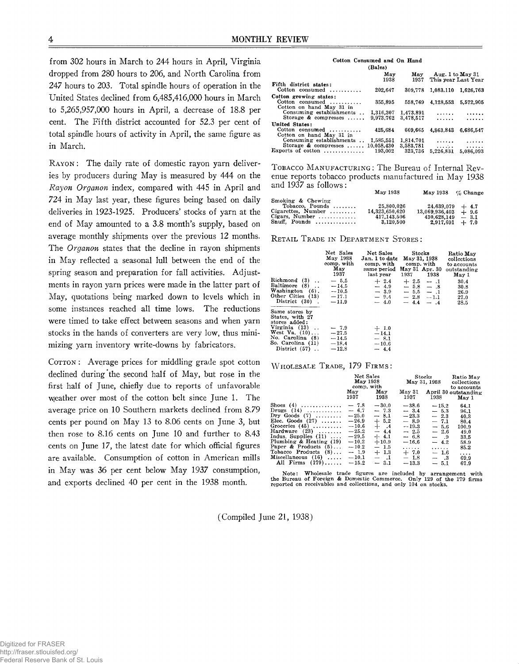from 302 hours in March to 244 hours in April, Virginia dropped from 280 hours to 206, and North Carolina from 247 hours to 203. Total spindle hours of operation in the United States declined from 6,485,416,000 hours in March to 5,265,957,000 hours in April, a decrease of 18.8 per cent. The Fifth district accounted for 52.3 per cent of total spindle hours of activity in April, the same figure as in March.

RAYON: The daily rate of domestic rayon yarn deliveries by producers during May is measured by 444 on the *Rayon Organon* index, compared with 445 in April and 724 in May last year, these figures being based on daily deliveries in 1923-1925. Producers' stocks of yarn at the end of May amounted to a 3.8 month's supply, based on average monthly shipments over the previous 12 months. The *Organon* states that the decline in rayon shipments in May reflected a seasonal lull between the end of the spring season and preparation for fall activities. Adjustments in rayon yarn prices were made in the latter part of May, quotations being marked down to levels which in some instances reached all time lows. The reductions were timed to take effect between seasons and when yarn stocks in the hands of converters are very low, thus minimizing yarn inventory write-downs by fabricators.

COTTON: Average prices for middling grade spot cotton declined during the second half of May, but rose in the first half of June, chiefly due to reports of unfavorable weather over most of the cotton belt since June 1. The average price on 10 Southern markets declined from 8.79 cents per pound on May 13 to 8.06 cents on June 3, but then rose to 8.16 cents on June 10 and further to 8.43 cents on June 17, the latest date for which official figures are available. Consumption of cotton in American mills in May was 36 per cent below May 1937 consumption, and exports declined 40 per cent in the 1938 month.

#### **Cotton Consumed and On Hand (Bales)**

|                            | , pars,    |           |                 |                     |
|----------------------------|------------|-----------|-----------------|---------------------|
|                            | May        | May       |                 | Aug. 1 to May 31    |
|                            | 1938       | 1937      |                 | This year Last Year |
| Fifth district states:     |            |           |                 |                     |
| Cotton consumed            | 202.647    | 309.778   | 1,083,110       | 1.626.763           |
| Cotton growing states:     |            |           |                 |                     |
| $\text{Cottom}$ consumed   | 355,895    | 558,769   | 4,128,553       | 5,572,905           |
| Cotton on hand May 31 in   |            |           |                 |                     |
| Consuming establishments   | 1,316,307  | 1,473,891 | .               | .                   |
| Storage $\&$ compresses    | 9.973.762  | 3,478,517 | .               | .                   |
| United States:             |            |           |                 |                     |
| Cotton consumed $\ldots$   | 425,684    | 669.665   | 4.863.843       | 6.686.547           |
| Cotton on hand May 31 in   |            |           |                 |                     |
| Consuming establishments   | 1,585,551  | 1.814.701 | $\cdots$        |                     |
| Storage $\&$ compresses    | 10.058.430 | 3.583.781 | المتوارد للمناد | .                   |
| Exports of cotton $\ldots$ | 193,002    | 323.736   | 5.226.831       | 5,086,093           |
|                            |            |           |                 |                     |

TOBACCO MANUFACTURING: The Bureau of Internal Revenue reports tobacco products manufactured in May 1938 and 1937 as follows :

|                                    | May 1938       | May 1938       | $\%$ Change |
|------------------------------------|----------------|----------------|-------------|
| Smoking & Chewing                  |                |                |             |
| Tobacco, Pounds $\ldots$           | 25,800,026     | 24.639.079     | $+ 4.7$     |
| $Cigareftes$ , Number $\dots\dots$ | 14,323,650,620 | 13.069.936.403 | $+9.6$      |
| Cigars, Number                     | 417.143.506    | 430.628.149    | $-3.1$      |
| $Snuff.$ Pounds                    | 3.120.500      | 2.917.691      | $+7.0$      |

**RETAIL TRADE IN DEPARTMENT STORES:** 

| Richmond (3).<br>Baltimore (8).<br>Washington $(6)$ . $-10.5$<br>Other Cities $(13)$ - 17.1<br>District (30).                                      | Net Sales<br>May 1938<br>comp. with<br>May<br>1937<br>$-5.5$<br>$-14.5$<br>$-11.9$ | Net Sales<br>Jan. 1 to date<br>comp. with comp. with<br>same period<br>last year<br>$+2.4$<br>$-4.9$<br>$-3.9$<br>$-9.4$<br>$-4.0$ | May 31, 1938<br>1937 | Stocks<br>May 31 Apr. 30<br>1938<br>$+2.5 - 1$<br>$-5.8 - .8$<br>$-5.5 - 1$<br>$-2.8 -1.1$<br>$-4.4 - .4$ | Ratio May<br>collections<br>to accounts<br>outstanding<br>May 1<br>30.4<br>30.8<br>26.9<br>27.0<br>28.5 |
|----------------------------------------------------------------------------------------------------------------------------------------------------|------------------------------------------------------------------------------------|------------------------------------------------------------------------------------------------------------------------------------|----------------------|-----------------------------------------------------------------------------------------------------------|---------------------------------------------------------------------------------------------------------|
| Same stores by<br>States, with 27<br>stores added:<br>Virginia $(13)$ .<br>West Va. (10)<br>No. Carolina (8)<br>So. Carolina (11)<br>District (57) | $-7.9$<br>$-27.5$<br>$-14.5$<br>$-18.4$<br>$-12.8$                                 | $+1.0$<br>$-14.1$<br>$-8.1$<br>$-10.6$<br>$-4.4$                                                                                   |                      |                                                                                                           |                                                                                                         |

WHOLESALE TRADE, 179 FIRMS:

|                                | Net Sales<br>May 1938<br>comp, with |         | Stocks<br>May 31, 1968 |         | Ratio May<br>collections<br>to accounts |
|--------------------------------|-------------------------------------|---------|------------------------|---------|-----------------------------------------|
|                                | May                                 | May     | May 31                 |         | April 30 outstanding                    |
|                                | 1937                                | 1938    | 1937                   | 1938    | May 1                                   |
| Shoes $(4)$                    | $-7.8$                              | $-30.0$ | $-38.6$                | $-15.2$ | 64.1                                    |
| Drugs $(14)$                   | $-6.7$                              | $-7.3$  | $-3.4$                 | $-5.3$  | 96.1                                    |
| Dry Goods $(7)$                | $-25.0$                             | $-8.1$  | $-23.3$                | $-2.3$  | 40.3                                    |
| Elec. Goods $(27)$             | $-26.9$                             | $+ 5.2$ | $-8.9$                 | $-7.1$  | 80.4                                    |
| Groceries $(45)$               | $-10.6$                             | $+.4$   | $-19.3$                | $-5.6$  | 100.9                                   |
| Hardware $(23)$                | $-25.2$                             | $-4.4$  | $-2.5$                 | $-2.6$  | 49.0                                    |
| Indus, Supplies $(11)$         | $-29.5$                             | $+ 4.1$ | $-6.8$                 | $-$ .9  | 33.5                                    |
| Plumbing & Heating (19)        | $-10.2$                             | $+10.9$ | $-16.6$                | $-4.2$  | 58.9                                    |
| Paper & Products $(5)$         | $-10.2$                             | $-1.5$  | .                      | .       | 85.2                                    |
| Tobacco Products $(8)$         | $-1.9$                              | $+1.3$  | $+7.0$                 | $-1.6$  | .                                       |
| Miscellaneous (16)<br>$\ldots$ | $-10.1$                             | $-1$    | $-1.8$                 | $-3$    | 69.9                                    |
| All Firms $(179)$              | $-15.2$                             | $-3.1$  | $-13.3$                | $-5.1$  | 67.9                                    |

**Note: Wholesale trade figures are included by arrangement with the Bureau of Foreign & Domestic Commerce. Only 129 of the 179 firms reported on receivables and collections, and only 104 on stocks.**

(Compiled June 21, 1938)